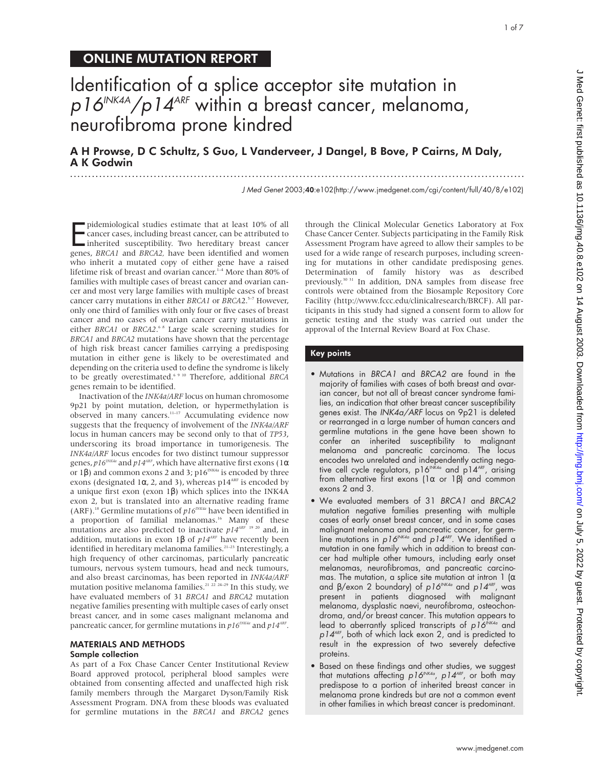# ONLINE MUTATION REPORT

# Identification of a splice acceptor site mutation in  $p16^{INK4A}/p14^{ARF}$  within a breast cancer, melanoma, neurofibroma prone kindred

# A H Prowse, D C Schultz, S Guo, L Vanderveer, J Dangel, B Bove, P Cairns, M Daly, A K Godwin .............................................................................................................................

J Med Genet 2003;40:e102(http://www.jmedgenet.com/cgi/content/full/40/8/e102)

pidemiological studies estimate that at least 10% of all<br>cancer cases, including breast cancer, can be attributed to<br>inherited susceptibility. Two hereditary breast cancer<br>genes, *BRCA1* and *BRCA2*, have been identified a pidemiological studies estimate that at least 10% of all cancer cases, including breast cancer, can be attributed to inherited susceptibility. Two hereditary breast cancer who inherit a mutated copy of either gene have a raised lifetime risk of breast and ovarian cancer.<sup>1-4</sup> More than 80% of families with multiple cases of breast cancer and ovarian cancer and most very large families with multiple cases of breast cancer carry mutations in either *BRCA1* or *BRCA2*.<sup>5-7</sup> However, only one third of families with only four or five cases of breast cancer and no cases of ovarian cancer carry mutations in either *BRCA1* or *BRCA2*.<sup>68</sup> Large scale screening studies for *BRCA1* and *BRCA2* mutations have shown that the percentage of high risk breast cancer families carrying a predisposing mutation in either gene is likely to be overestimated and depending on the criteria used to define the syndrome is likely to be greatly overestimated.6 9 10 Therefore, additional *BRCA* genes remain to be identified.

Inactivation of the *INK4a/ARF* locus on human chromosome 9p21 by point mutation, deletion, or hypermethylation is observed in many cancers.11–17 Accumulating evidence now suggests that the frequency of involvement of the *INK4a/ARF* locus in human cancers may be second only to that of *TP53*, underscoring its broad importance in tumorigenesis. The *INK4a/ARF* locus encodes for two distinct tumour suppressor genes, *p16<sup>INK4a</sup>* and *p14<sup>ARF</sup>*, which have alternative first exons (1α or 1β) and common exons 2 and 3;  $p16^{INKA}$  is encoded by three exons (designated 1 $\alpha$ , 2, and 3), whereas p14<sup>ARF</sup> is encoded by a unique first exon (exon 1β) which splices into the INK4A exon 2, but is translated into an alternative reading frame (ARF).18 Germline mutations of *p16INK4a* have been identified in a proportion of familial melanomas.<sup>16</sup> Many of these mutations are also predicted to inactivate  $p14^{ART}$ <sup>19 20</sup> and, in addition, mutations in exon 1β of  $p14<sup>ART</sup>$  have recently been identified in hereditary melanoma families.<sup>21-23</sup> Interestingly, a high frequency of other carcinomas, particularly pancreatic tumours, nervous system tumours, head and neck tumours, and also breast carcinomas, has been reported in *INK4a/ARF* mutation positive melanoma families.<sup>21</sup>  $^{22}$   $^{22}$   $^{24-29}$  In this study, we have evaluated members of 31 *BRCA1* and *BRCA2* mutation negative families presenting with multiple cases of early onset breast cancer, and in some cases malignant melanoma and pancreatic cancer, for germline mutations in  $p16^{INKA}$  and  $p14^{ART}$ .

## MATERIALS AND METHODS

#### Sample collection

As part of a Fox Chase Cancer Center Institutional Review Board approved protocol, peripheral blood samples were obtained from consenting affected and unaffected high risk family members through the Margaret Dyson/Family Risk Assessment Program. DNA from these bloods was evaluated for germline mutations in the *BRCA1* and *BRCA2* genes

through the Clinical Molecular Genetics Laboratory at Fox Chase Cancer Center. Subjects participating in the Family Risk Assessment Program have agreed to allow their samples to be used for a wide range of research purposes, including screening for mutations in other candidate predisposing genes. Determination of family history was as described previously.30 31 In addition, DNA samples from disease free controls were obtained from the Biosample Repository Core Facility (http://www.fccc.edu/clinicalresearch/BRCF). All participants in this study had signed a consent form to allow for genetic testing and the study was carried out under the approval of the Internal Review Board at Fox Chase.

#### Key points

- Mutations in BRCA1 and BRCA2 are found in the majority of families with cases of both breast and ovarian cancer, but not all of breast cancer syndrome families, an indication that other breast cancer susceptibility genes exist. The INK4a/ARF locus on 9p21 is deleted or rearranged in a large number of human cancers and germline mutations in the gene have been shown to confer an inherited susceptibility to malignant melanoma and pancreatic carcinoma. The locus encodes two unrelated and independently acting negative cell cycle regulators, p16<sup>INK4a</sup> and p14<sup>ARF</sup>, arising from alternative first exons (1α or 1β) and common exons 2 and 3.
- We evaluated members of 31 BRCA1 and BRCA2 mutation negative families presenting with multiple cases of early onset breast cancer, and in some cases malignant melanoma and pancreatic cancer, for germline mutations in  $p16^{NKA_{\alpha}}$  and  $p14^{ARF}$ . We identified a mutation in one family which in addition to breast cancer had multiple other tumours, including early onset melanomas, neurofibromas, and pancreatic carcinomas. The mutation, a splice site mutation at intron  $1 (\alpha)$ and β/exon 2 boundary) of p16ʰMK4a and p14ʰRF, was present in patients diagnosed with malignant melanoma, dysplastic naevi, neurofibroma, osteochondroma, and/or breast cancer. This mutation appears to lead to aberrantly spliced transcripts of  $p16^{INKA}$  and  $p14$ <sup>ARF</sup>, both of which lack exon 2, and is predicted to result in the expression of two severely defective proteins.
- Based on these findings and other studies, we suggest that mutations affecting  $p16^{INK4a}$ ,  $p14^{ARF}$ , or both may predispose to a portion of inherited breast cancer in melanoma prone kindreds but are not a common event in other families in which breast cancer is predominant.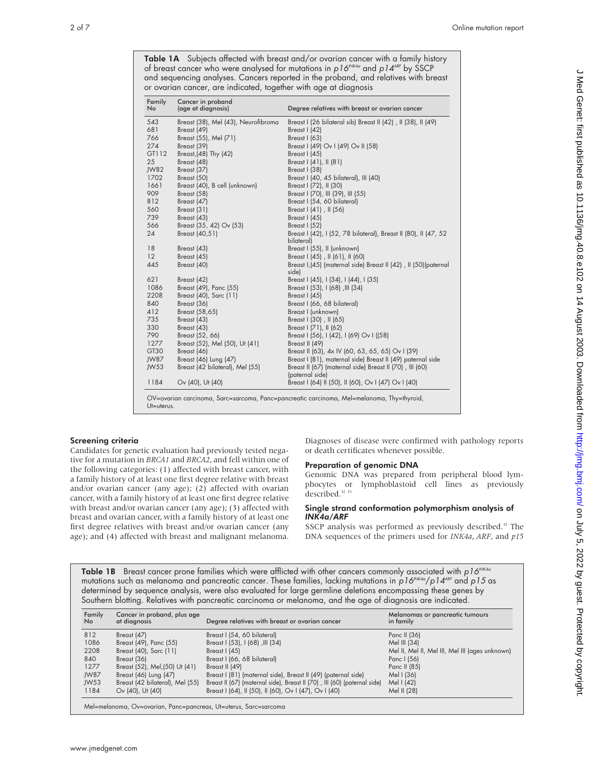| Family<br>No | Cancer in proband<br>(age at diagnosis) | Degree relatives with breast or ovarian cancer<br>Breast I (26 bilateral sib) Breast II (42), II (38), II (49) |  |
|--------------|-----------------------------------------|----------------------------------------------------------------------------------------------------------------|--|
| 543          | Breast (38), Mel (43), Neurofibroma     |                                                                                                                |  |
| 681          | Breast (49)                             | Breast I (42)                                                                                                  |  |
| 766          | Breast (55), Mel (71)                   | Breast I (63)                                                                                                  |  |
| 274          | Breast (39)                             | Breast I (49) Ov I (49) Ov II (58)                                                                             |  |
| GT112        | Breast, (48) Thy (42)                   | Breast I (45)                                                                                                  |  |
| 25           | Breast (48)                             | Breast I (41), II (81)                                                                                         |  |
| JW82         | Breast (37)                             | Breast I (38)                                                                                                  |  |
| 1702         | Breast (50)                             | Breast I (40, 45 bilateral), III (40)                                                                          |  |
| 1661         | Breast (40), B cell (unknown)           | Breast I (72), II (30)                                                                                         |  |
| 909          | Breast (58)                             | Breast I (70), III (39), III (55)                                                                              |  |
| 812          | Breast (47)                             | Breast I (54, 60 bilateral)                                                                                    |  |
| 560          | Breast (31)                             | Breast I (41), II (56)                                                                                         |  |
| 739          | Breast (43)                             | Breast I (45)                                                                                                  |  |
| 566          | Breast (35, 42) Ov (53)                 | Breast I (52)                                                                                                  |  |
| 24           | Breast (40,51)                          | Breast I (42), I (52, 78 bilateral), Breast II (80), II (47, 52<br>bilateral)                                  |  |
| 18           | Breast (43)                             | Breast I (55), II (unknown)                                                                                    |  |
| 12           | Breast (45)                             | Breast I (45), II (61), II (60)                                                                                |  |
| 445          | Breast (40)                             | Breast I, (45) (maternal side) Breast II (42), II (50) (paternal<br>side)                                      |  |
| 621          | Breast (42)                             | Breast I (45), I (34), I (44), I (35)                                                                          |  |
| 1086         | Breast (49), Panc (55)                  | Breast I (53), I (68), III (34)                                                                                |  |
| 2208         | Breast (40), Sarc (11)                  | Breast I (45)                                                                                                  |  |
| 840          | Breast (36)                             | Breast I (66, 68 bilateral)                                                                                    |  |
| 412          | Breast (58,65)                          | Breast I (unknown)                                                                                             |  |
| 735          | Breast (43)                             | Breast I (30), II (65)                                                                                         |  |
| 330          | Breast (43)                             | Breast I (71), II (62)                                                                                         |  |
| 790          | Breast (52, 66)                         | Breast I (56), I (42), I (69) Ov I ((58)                                                                       |  |
| 1277         | Breast (52), Mel (50), Ut (41)          | Breast II (49)                                                                                                 |  |
| GT30         | Breast (46)                             | Breast II (63), 4x IV (60, 63, 65, 65) Ov I (39)                                                               |  |
| JW87         | Breast (46) Lung (47)                   | Breast I (81), maternal side) Breast II (49) paternal side                                                     |  |
| JW53         | Breast (42 bilateral), Mel (55)         | Breast II (67) (maternal side) Breast II (70), III (60)<br>(paternal side)                                     |  |
| 1184         | Ov (40), Ut (40)                        | Breast I (64) II (50), II (60), Ov I (47) Ov I (40)                                                            |  |

Table 1A Subjects affected with breast and/or ovarian cancer with a family history of breast cancer who were analysed for mutations in  $p16^{NKAa}$  and  $p14^{AF}$  by SSCP and sequencing analyses. Cancers reported in the proband, and relatives with breast or ovarian cancer, are indicated, together with age at diagnosis

Screening criteria

Candidates for genetic evaluation had previously tested negative for a mutation in *BRCA1* and *BRCA2*, and fell within one of the following categories: (1) affected with breast cancer, with a family history of at least one first degree relative with breast and/or ovarian cancer (any age); (2) affected with ovarian cancer, with a family history of at least one first degree relative with breast and/or ovarian cancer (any age); (3) affected with breast and ovarian cancer, with a family history of at least one first degree relatives with breast and/or ovarian cancer (any age); and (4) affected with breast and malignant melanoma.

Ut=uterus.

Diagnoses of disease were confirmed with pathology reports or death certificates whenever possible.

#### Preparation of genomic DNA

Genomic DNA was prepared from peripheral blood lymphocytes or lymphoblastoid cell lines as previously described.<sup>32</sup> 33

#### Single strand conformation polymorphism analysis of *INK4a/ARF*

SSCP analysis was performed as previously described.<sup>32</sup> The DNA sequences of the primers used for *INK4a*, *ARF*, and *p15*

Table 1B Breast cancer prone families which were afflicted with other cancers commonly associated with  $p16^{NKA}$ mutations such as melanoma and pancreatic cancer. These families, lacking mutations in  $p16^{NKA}/p14^{AF}$  and  $p15$  as determined by sequence analysis, were also evaluated for large germline deletions encompassing these genes by Southern blotting. Relatives with pancreatic carcinoma or melanoma, and the age of diagnosis are indicated.

| Family<br>No. | Cancer in proband, plus age<br>at diagnosis | Degree relatives with breast or ovarian cancer                           | Melanomas or pancreatic tumours<br>in family    |
|---------------|---------------------------------------------|--------------------------------------------------------------------------|-------------------------------------------------|
| 812           | Breast (47)                                 | Breast I (54, 60 bilateral)                                              | Panc II (36)                                    |
| 1086          | Breast (49), Panc (55)                      | Breast I (53), I (68), III (34)                                          | Mel III $(34)$                                  |
| 2208          | Breast (40), Sarc (11)                      | Breast $(45)$                                                            | Mel II, Mel II, Mel III, Mel III (ages unknown) |
| 840           | Breast (36)                                 | Breast I (66, 68 bilateral)                                              | Panc I (56)                                     |
| 1277          | Breast (52), Mel, (50) Ut (41)              | Breast II (49)                                                           | Panc II (85)                                    |
| JW87          | Breast (46) Lung (47)                       | Breast I (81) (maternal side), Breast II (49) (paternal side)            | Mel I (36)                                      |
| JW53          | Breast (42 bilateral), Mel (55)             | Breast II (67) (maternal side), Breast II (70), III (60) (paternal side) | Mel I (42)                                      |
| 1184          | Ov (40), Ut (40)                            | Breast I (64), II (50), II (60), Ov I (47), Ov I (40)                    | Mel II (28)                                     |
|               |                                             |                                                                          |                                                 |

Mel=melanoma, Ov=ovarian, Panc=pancreas, Ut=uterus, Sarc=sarcoma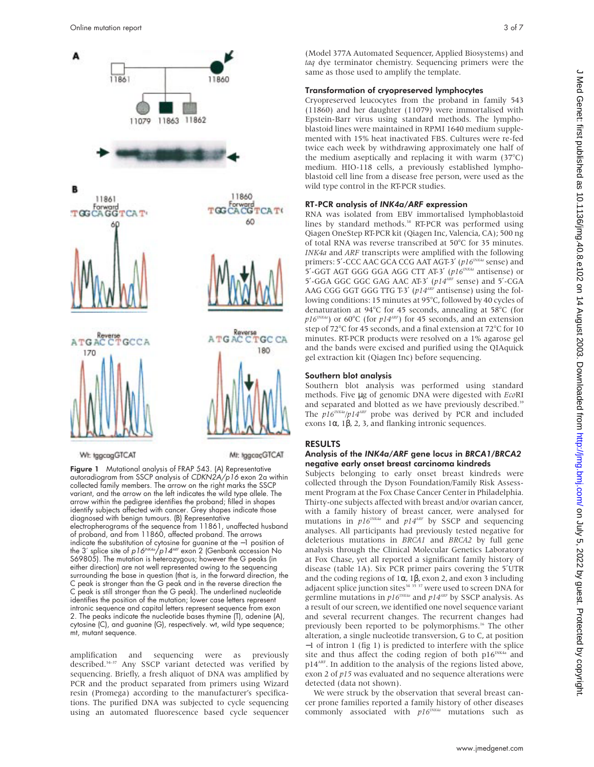

Wt: tggcogGTCAT

Mt: tggcacGTCAT

Figure 1 Mutational analysis of FRAP 543. (A) Representative autoradiogram from SSCP analysis of CDKN2A/p16 exon 2a within collected family members. The arrow on the right marks the SSCP variant, and the arrow on the left indicates the wild type allele. The arrow within the pedigree identifies the proband; filled in shapes identify subjects affected with cancer. Grey shapes indicate those diagnosed with benign tumours. (B) Representative electropherograms of the sequence from 11861, unaffected husband of proband, and from 11860, affected proband. The arrows indicate the substitution of cytosine for guanine at the −1 position of the 3' splice site of p16<sup>INK4a</sup>/p14<sup>ARF</sup> exon 2 (Genbank accession No S69805). The mutation is heterozygous; however the G peaks (in either direction) are not well represented owing to the sequencing surrounding the base in question (that is, in the forward direction, the C peak is stronger than the G peak and in the reverse direction the C peak is still stronger than the G peak). The underlined nucleotide identifies the position of the mutation; lower case letters represent intronic sequence and capital letters represent sequence from exon 2. The peaks indicate the nucleotide bases thymine (T), adenine (A), cytosine (C), and guanine (G), respectively. wt, wild type sequence; mt, mutant sequence.

amplification and sequencing were as previously described.34–37 Any SSCP variant detected was verified by sequencing. Briefly, a fresh aliquot of DNA was amplified by PCR and the product separated from primers using Wizard resin (Promega) according to the manufacturer's specifications. The purified DNA was subjected to cycle sequencing using an automated fluorescence based cycle sequencer

(Model 377A Automated Sequencer, Applied Biosystems) and *taq* dye terminator chemistry. Sequencing primers were the same as those used to amplify the template.

#### Transformation of cryopreserved lymphocytes

Cryopreserved leucocytes from the proband in family 543 (11860) and her daughter (11079) were immortalised with Epstein-Barr virus using standard methods. The lymphoblastoid lines were maintained in RPMI 1640 medium supplemented with 15% heat inactivated FBS. Cultures were re-fed twice each week by withdrawing approximately one half of the medium aseptically and replacing it with warm (37°C) medium. HIO-118 cells, a previously established lymphoblastoid cell line from a disease free person, were used as the wild type control in the RT-PCR studies.

#### RT-PCR analysis of *INK4a/ARF* expression

RNA was isolated from EBV immortalised lymphoblastoid lines by standard methods.<sup>38</sup> RT-PCR was performed using Qiagen OneStep RT-PCR kit (Qiagen Inc, Valencia, CA); 500 ng of total RNA was reverse transcribed at 50°C for 35 minutes. *INK4a* and *ARF* transcripts were amplified with the following primers: 5'-CCC AAC GCA CCG AAT AGT-3' (p16<sup>INK4a</sup> sense) and 5'-GGT AGT GGG GGA AGG CTT AT-3' ( $p16^{NKA}$  antisense) or 5′-GGA GGC GGC GAG AAC AT-3′ (*p14ARF* sense) and 5′-CGA AAG CGG GGT GGG TTG T-3' (*p14<sup>ARF</sup>* antisense) using the following conditions: 15 minutes at 95°C, followed by 40 cycles of denaturation at 94°C for 45 seconds, annealing at 58°C (for  $p16^{INKA}$ ) or 60°C (for  $p14^{ARP}$ ) for 45 seconds, and an extension step of 72°C for 45 seconds, and a final extension at 72°C for 10 minutes. RT-PCR products were resolved on a 1% agarose gel and the bands were excised and purified using the QIAquick gel extraction kit (Qiagen Inc) before sequencing.

#### Southern blot analysis

Southern blot analysis was performed using standard methods. Five µg of genomic DNA were digested with *Eco*RI and separated and blotted as we have previously described.<sup>39</sup> The  $p16^{NKA}/p14^{ARF}$  probe was derived by PCR and included exons 1α, 1β, 2, 3, and flanking intronic sequences.

#### RESULTS

### Analysis of the *INK4a/ARF* gene locu*s* in *BRCA1*/*BRCA2* negative early onset breast carcinoma kindreds

Subjects belonging to early onset breast kindreds were collected through the Dyson Foundation/Family Risk Assessment Program at the Fox Chase Cancer Center in Philadelphia. Thirty-one subjects affected with breast and/or ovarian cancer, with a family history of breast cancer, were analysed for mutations in  $p16^{NNK4a}$  and  $p14^{ARF}$  by SSCP and sequencing analyses. All participants had previously tested negative for deleterious mutations in *BRCA1* and *BRCA2* by full gene analysis through the Clinical Molecular Genetics Laboratory at Fox Chase, yet all reported a significant family history of disease (table 1A). Six PCR primer pairs covering the 5′UTR and the coding regions of  $1\alpha$ ,  $1\beta$ , exon 2, and exon 3 including adjacent splice junction sites $34$   $35$   $37$  were used to screen DNA for germline mutations in  $p16^{INKA}$  and  $p14^{ARP}$  by SSCP analysis. As a result of our screen, we identified one novel sequence variant and several recurrent changes. The recurrent changes had previously been reported to be polymorphisms.16 The other alteration, a single nucleotide transversion, G to C, at position −1 of intron 1 (fig 1) is predicted to interfere with the splice site and thus affect the coding region of both  $p16^{INKA}$  and p14<sup>ARF</sup>. In addition to the analysis of the regions listed above, exon 2 of *p15* was evaluated and no sequence alterations were detected (data not shown).

We were struck by the observation that several breast cancer prone families reported a family history of other diseases commonly associated with *p16INK4a* mutations such as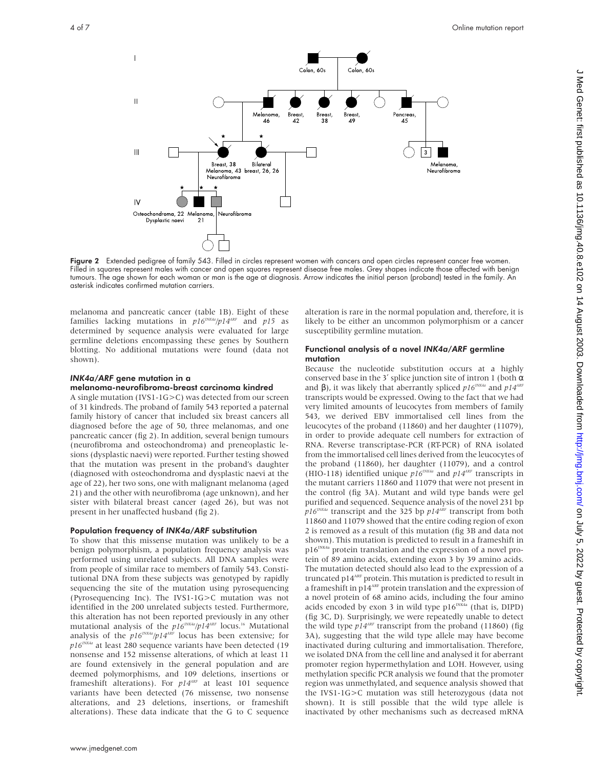

Figure 2 Extended pedigree of family 543. Filled in circles represent women with cancers and open circles represent cancer free women. Filled in squares represent males with cancer and open squares represent disease free males. Grey shapes indicate those affected with benign tumours. The age shown for each woman or man is the age at diagnosis. Arrow indicates the initial person (proband) tested in the family. An asterisk indicates confirmed mutation carriers.

melanoma and pancreatic cancer (table 1B). Eight of these families lacking mutations in  $p16^{INKA}/p14^{ART}$  and  $p15$  as determined by sequence analysis were evaluated for large germline deletions encompassing these genes by Southern blotting. No additional mutations were found (data not shown).

# *INK4a/ARF* gene mutation in a

# melanoma-neurofibroma-breast carcinoma kindred

A single mutation (IVS1-1G>C) was detected from our screen of 31 kindreds. The proband of family 543 reported a paternal family history of cancer that included six breast cancers all diagnosed before the age of 50, three melanomas, and one pancreatic cancer (fig 2). In addition, several benign tumours (neurofibroma and osteochondroma) and preneoplastic lesions (dysplastic naevi) were reported. Further testing showed that the mutation was present in the proband's daughter (diagnosed with osteochondroma and dysplastic naevi at the age of 22), her two sons, one with malignant melanoma (aged 21) and the other with neurofibroma (age unknown), and her sister with bilateral breast cancer (aged 26), but was not present in her unaffected husband (fig 2).

# Population frequency of *INK4a/ARF* substitution

To show that this missense mutation was unlikely to be a benign polymorphism, a population frequency analysis was performed using unrelated subjects. All DNA samples were from people of similar race to members of family 543. Constitutional DNA from these subjects was genotyped by rapidly sequencing the site of the mutation using pyrosequencing (Pyrosequencing Inc). The IVS1-1G>C mutation was not identified in the 200 unrelated subjects tested. Furthermore, this alteration has not been reported previously in any other mutational analysis of the  $p16^{INKA}/p14^{ART}$  locus.<sup>16</sup> Mutational analysis of the  $p16^{INKA}/p14^{ARP}$  locus has been extensive; for *p16INK4a* at least 280 sequence variants have been detected (19 nonsense and 152 missense alterations, of which at least 11 are found extensively in the general population and are deemed polymorphisms, and 109 deletions, insertions or frameshift alterations). For  $p14^{ART}$  at least 101 sequence variants have been detected (76 missense, two nonsense alterations, and 23 deletions, insertions, or frameshift alterations). These data indicate that the G to C sequence

alteration is rare in the normal population and, therefore, it is likely to be either an uncommon polymorphism or a cancer susceptibility germline mutation.

## Functional analysis of a novel *INK4a/ARF* germline mutation

Because the nucleotide substitution occurs at a highly conserved base in the 3' splice junction site of intron 1 (both  $\alpha$ and β), it was likely that aberrantly spliced  $p16^{INK4a}$  and  $p14^{ART}$ transcripts would be expressed. Owing to the fact that we had very limited amounts of leucocytes from members of family 543, we derived EBV immortalised cell lines from the leucocytes of the proband (11860) and her daughter (11079), in order to provide adequate cell numbers for extraction of RNA. Reverse transcriptase-PCR (RT-PCR) of RNA isolated from the immortalised cell lines derived from the leucocytes of the proband (11860), her daughter (11079), and a control (HIO-118) identified unique *p16INK4a* and *p14ARF* transcripts in the mutant carriers 11860 and 11079 that were not present in the control (fig 3A). Mutant and wild type bands were gel purified and sequenced. Sequence analysis of the novel 231 bp *p16INK4a* transcript and the 325 bp *p14ARF* transcript from both 11860 and 11079 showed that the entire coding region of exon 2 is removed as a result of this mutation (fig 3B and data not shown). This mutation is predicted to result in a frameshift in  $p16^{INK4a}$  protein translation and the expression of a novel protein of 89 amino acids, extending exon 3 by 39 amino acids. The mutation detected should also lead to the expression of a truncated p14ARF protein. This mutation is predicted to result in a frameshift in  $p14^{\text{ARF}}$  protein translation and the expression of a novel protein of 68 amino acids, including the four amino acids encoded by exon 3 in wild type  $p16^{NK4a}$  (that is, DIPD) (fig 3C, D)*.* Surprisingly, we were repeatedly unable to detect the wild type  $p14^{ARF}$  transcript from the proband (11860) (fig 3A), suggesting that the wild type allele may have become inactivated during culturing and immortalisation. Therefore, we isolated DNA from the cell line and analysed it for aberrant promoter region hypermethylation and LOH. However, using methylation specific PCR analysis we found that the promoter region was unmethylated, and sequence analysis showed that the IVS1-1G>C mutation was still heterozygous (data not shown). It is still possible that the wild type allele is inactivated by other mechanisms such as decreased mRNA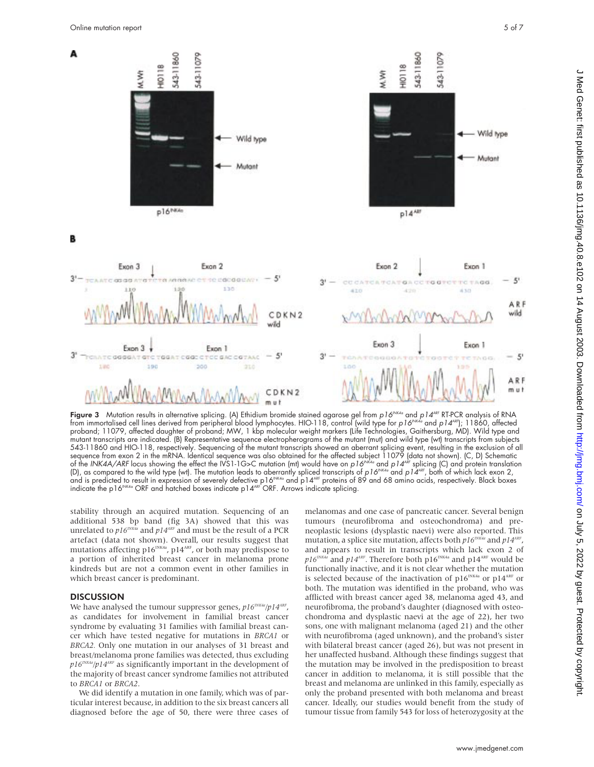

**Figure 3** Mutation results in alternative splicing. (A) Ethidium bromide stained agarose gel from p16<sup>INK4a</sup> and p14<sup>ARF</sup> RT-PCR analysis of RNA from immortalised cell lines derived from peripheral blood lymphocytes. HIO-118, control (wild type for *p16<sup>INK4a</sup>* and *p14*AP); 11860, affected proband; 11079, affected daughter of proband; MW, 1 kbp molecular weight markers (Life Technologies, Gaithersburg, MD). Wild type and mutant transcripts are indicated. (B) Representative sequence electropherograms of the mutant (mut) and wild type (wt) transcripts from subjects 543-11860 and HIO-118, respectively. Sequencing of the mutant transcripts showed an aberrant splicing event, resulting in the exclusion of all sequence from exon 2 in the mRNA. Identical sequence was also obtained tor the aftected subject 11079 (data not shown). (C, D) Schematic<br>of the INK4A/ARF locus showing the effect the IVS1-1G>C mutation (mt) would have on p (D), as compared to the wild type (wt). The mutation leads to aberrantly spliced transcripts of p16<sup>NK4a</sup> and p14<sup>ARF</sup>, both of which lack exon 2, and is predicted to result in expression of severely defective p16<sup>INK4a</sup> and p14<sup>ARF</sup> proteins of 89 and 68 amino acids, respectively. Black boxes indicate the p16 $N_{\rm K4a}$  ORF and hatched boxes indicate p14 $^{\rm AF}$  ORF. Arrows indicate splicing.

stability through an acquired mutation. Sequencing of an additional 538 bp band (fig 3A) showed that this was unrelated to  $p16^{INK4a}$  and  $p14^{ART}$  and must be the result of a PCR artefact (data not shown). Overall, our results suggest that mutations affecting  $p16^{NK4a}$ ,  $p14^{ARK}$ , or both may predispose to a portion of inherited breast cancer in melanoma prone kindreds but are not a common event in other families in which breast cancer is predominant.

# **DISCUSSION**

We have analysed the tumour suppressor genes,  $p16^{iNKA}/p14^{ARE}$ , as candidates for involvement in familial breast cancer syndrome by evaluating 31 families with familial breast cancer which have tested negative for mutations in *BRCA1* or *BRCA2.* Only one mutation in our analyses of 31 breast and breast/melanoma prone families was detected, thus excluding  $p16^{INKA}/p14^{ART}$  as significantly important in the development of the majority of breast cancer syndrome families not attributed to *BRCA1* or *BRCA2*.

We did identify a mutation in one family, which was of particular interest because, in addition to the six breast cancers all diagnosed before the age of 50, there were three cases of melanomas and one case of pancreatic cancer. Several benign tumours (neurofibroma and osteochondroma) and preneoplastic lesions (dysplastic naevi) were also reported. This mutation, a splice site mutation, affects both  $p16^{INKA}$  and  $p14^{ART}$ , and appears to result in transcripts which lack exon 2 of  $p16$ <sup>INK4a</sup> and  $p14$ <sup>ARF</sup>. Therefore both p16<sup>INK4a</sup> and p14<sup>ARF</sup> would be functionally inactive, and it is not clear whether the mutation is selected because of the inactivation of p16<sup>INK4a</sup> or p14<sup>ARF</sup> or both. The mutation was identified in the proband, who was afflicted with breast cancer aged 38, melanoma aged 43, and neurofibroma, the proband's daughter (diagnosed with osteochondroma and dysplastic naevi at the age of 22), her two sons, one with malignant melanoma (aged 21) and the other with neurofibroma (aged unknown), and the proband's sister with bilateral breast cancer (aged 26), but was not present in her unaffected husband. Although these findings suggest that the mutation may be involved in the predisposition to breast cancer in addition to melanoma, it is still possible that the breast and melanoma are unlinked in this family, especially as only the proband presented with both melanoma and breast cancer. Ideally, our studies would benefit from the study of tumour tissue from family 543 for loss of heterozygosity at the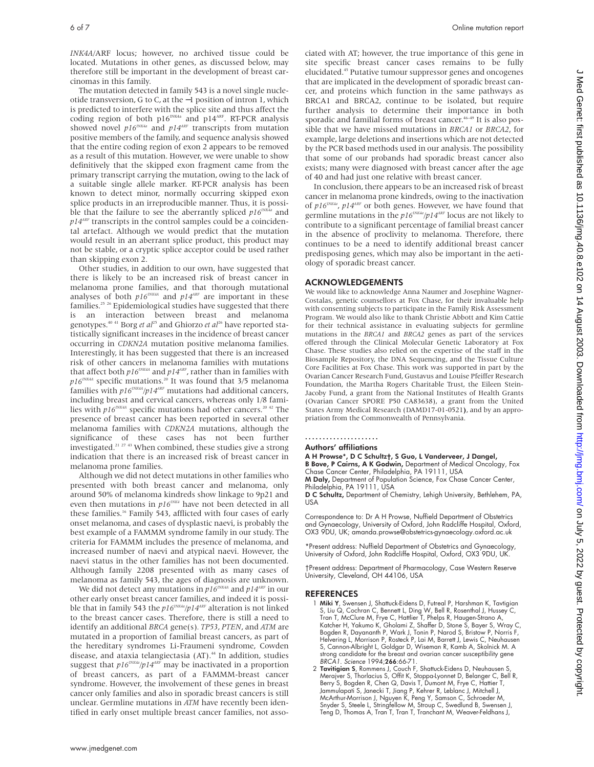*INK4A*/ARF locus; however, no archived tissue could be located. Mutations in other genes, as discussed below, may therefore still be important in the development of breast carcinomas in this family.

The mutation detected in family 543 is a novel single nucleotide transversion, G to C, at the −1 position of intron 1, which is predicted to interfere with the splice site and thus affect the coding region of both  $p16^{INKA}$  and  $p14^{ARF}$ . RT-PCR analysis showed novel  $p16^{INK4a}$  and  $p14^{ARP}$  transcripts from mutation positive members of the family, and sequence analysis showed that the entire coding region of exon 2 appears to be removed as a result of this mutation. However, we were unable to show definitively that the skipped exon fragment came from the primary transcript carrying the mutation, owing to the lack of a suitable single allele marker. RT-PCR analysis has been known to detect minor, normally occurring skipped exon splice products in an irreproducible manner. Thus, it is possible that the failure to see the aberrantly spliced  $p16^{INKA}$  and  $p14<sup>ART</sup>$  transcripts in the control samples could be a coincidental artefact. Although we would predict that the mutation would result in an aberrant splice product, this product may not be stable, or a cryptic splice acceptor could be used rather than skipping exon 2.

Other studies, in addition to our own, have suggested that there is likely to be an increased risk of breast cancer in melanoma prone families, and that thorough mutational analyses of both  $p16^{INKA}$  and  $p14^{ART}$  are important in these families.25 26 Epidemiological studies have suggested that there is an interaction between breast and melanoma genotypes.<sup>40 41</sup> Borg *et al*<sup>25</sup> and Ghiorzo *et al*<sup>26</sup> have reported statistically significant increases in the incidence of breast cancer occurring in *CDKN2A* mutation positive melanoma families. Interestingly, it has been suggested that there is an increased risk of other cancers in melanoma families with mutations that affect both  $p16^{NK4A}$  and  $p14^{ART}$ , rather than in families with  $p16^{INKA}$  specific mutations.<sup>20</sup> It was found that  $3/5$  melanoma families with  $p16^{NKA}/p14^{ARF}$  mutations had additional cancers, including breast and cervical cancers, whereas only 1/8 families with  $p16^{INK4A}$  specific mutations had other cancers.<sup>20 42</sup> The presence of breast cancer has been reported in several other melanoma families with *CDKN2A* mutations, although the significance of these cases has not been further investigated.<sup>21 27</sup> <sup>43</sup> When combined, these studies give a strong indication that there is an increased risk of breast cancer in melanoma prone families.

Although we did not detect mutations in other families who presented with both breast cancer and melanoma, only around 50% of melanoma kindreds show linkage to 9p21 and even then mutations in  $p16^{INKA}$  have not been detected in all these families.<sup>16</sup> Family 543, afflicted with four cases of early onset melanoma, and cases of dysplastic naevi, is probably the best example of a FAMMM syndrome family in our study. The criteria for FAMMM includes the presence of melanoma, and increased number of naevi and atypical naevi. However, the naevi status in the other families has not been documented. Although family 2208 presented with as many cases of melanoma as family 543, the ages of diagnosis are unknown.

We did not detect any mutations in  $p16^{INK4A}$  and  $p14^{ART}$  in our other early onset breast cancer families, and indeed it is possible that in family 543 the  $p16^{INKA}/p14^{ARF}$  alteration is not linked to the breast cancer cases. Therefore, there is still a need to identify an additional *BRCA* gene(s)*. TP53*, *PTEN*, and *ATM* are mutated in a proportion of familial breast cancers, as part of the hereditary syndromes Li-Fraumeni syndrome, Cowden disease, and ataxia telangiectasia (AT).<sup>44</sup> In addition, studies suggest that  $p16^{NKA}/p14^{ARF}$  may be inactivated in a proportion of breast cancers, as part of a FAMMM-breast cancer syndrome. However, the involvement of these genes in breast cancer only families and also in sporadic breast cancers is still unclear. Germline mutations in *ATM* have recently been identified in early onset multiple breast cancer families, not associated with AT; however, the true importance of this gene in site specific breast cancer cases remains to be fully elucidated.45 Putative tumour suppressor genes and oncogenes that are implicated in the development of sporadic breast cancer, and proteins which function in the same pathways as BRCA1 and BRCA2, continue to be isolated, but require further analysis to determine their importance in both sporadic and familial forms of breast cancer.<sup>46-49</sup> It is also possible that we have missed mutations in *BRCA1* or *BRCA2*, for example, large deletions and insertions which are not detected by the PCR based methods used in our analysis. The possibility that some of our probands had sporadic breast cancer also exists; many were diagnosed with breast cancer after the age of 40 and had just one relative with breast cancer.

In conclusion, there appears to be an increased risk of breast cancer in melanoma prone kindreds, owing to the inactivation of  $p16^{INK4a}$ ,  $p14^{ART}$  or both genes. However, we have found that germline mutations in the  $p16^{INKA}/p14^{ARP}$  locus are not likely to contribute to a significant percentage of familial breast cancer in the absence of proclivity to melanoma. Therefore, there continues to be a need to identify additional breast cancer predisposing genes, which may also be important in the aetiology of sporadic breast cancer.

# ACKNOWLEDGEMENTS

We would like to acknowledge Anna Naumer and Josephine Wagner-Costalas, genetic counsellors at Fox Chase, for their invaluable help with consenting subjects to participate in the Family Risk Assessment Program. We would also like to thank Christie Abbott and Kim Cattie for their technical assistance in evaluating subjects for germline mutations in the *BRCA1* and *BRCA2* genes as part of the services offered through the Clinical Molecular Genetic Laboratory at Fox Chase. These studies also relied on the expertise of the staff in the Biosample Repository, the DNA Sequencing, and the Tissue Culture Core Facilities at Fox Chase. This work was supported in part by the Ovarian Cancer Research Fund, Gustavus and Louise Pfeiffer Research Foundation, the Martha Rogers Charitable Trust, the Eileen Stein-Jacoby Fund, a grant from the National Institutes of Health Grants (Ovarian Cancer SPORE P50 CA83638), a grant from the United States Army Medical Research (DAMD17-01-0521**)**, and by an appropriation from the Commonwealth of Pennsylvania.

.....................

#### Authors' affiliations

A H Prowse\*, D C Schultz†, S Guo, L Vanderveer, J Dangel, B Bove, P Cairns, A K Godwin, Department of Medical Oncology, Fox

Chase Cancer Center, Philadelphia, PA 19111, USA

M Daly, Department of Population Science, Fox Chase Cancer Center, Philadelphia, PA 19111, USA

D C Schultz, Department of Chemistry, Lehigh University, Bethlehem, PA, USA

Correspondence to: Dr A H Prowse, Nuffield Department of Obstetrics and Gynaecology, University of Oxford, John Radcliffe Hospital, Oxford, OX3 9DU, UK; amanda.prowse@obstetrics-gynaecology.oxford.ac.uk

\*Present address: Nuffield Department of Obstetrics and Gynaecology, University of Oxford, John Radcliffe Hospital, Oxford, OX3 9DU, UK.

†Present address: Department of Pharmacology, Case Western Reserve University, Cleveland, OH 44106, USA

### REFERENCES

- 1 Miki Y, Swensen J, Shattuck-Eidens D, Futreal P, Harshman K, Tavtigian S, Liu Q, Cochran C, Bennett L, Ding W, Bell R, Rosenthal J, Hussey C,<br>Tran T, McClure M, Frye C, Hattlier T, Phelps R, Haugen-Strano A,<br>Katcher H, Yakumo K, Gholami Z, Shaffer D, Stone S, Bayer S, Wray C,<br>Bogden R, Dayana Helvering L, Morrison P, Rosteck P, Lai M, Barrett J, Lewis C, Neuhausen S, Cannon-Albright L, Goldgar D, Wiseman R, Kamb A, Skolnick M. A strong candidate for the breast and ovarian cancer susceptibility gene BRCA1. Science 1994;266:66-71.
- 2 Tavitigian S, Rommens J, Couch F, Shattuck-Eidens D, Neuhausen S,<br>Merajver S, Thorlacius S, Offit K, Stoppa-Lyonnet D, Belanger C, Bell R,<br>Berry S, Bogden R, Chen Q, Davis T, Dumont M, Frye C, Hattier T, Jammulapati S, Janecki T, Jiang P, Kehrer R, Leblanc J, Mitchell J, McArthur-Morrison J, Nguyen K, Peng Y, Samson C, Schroeder M, Snyder S, Steele L, Stringfellow M, Stroup C, Swedlund B, Swensen J, Teng D, Thomas A, Tran T, Tran T, Tranchant M, Weaver-Feldhans J,